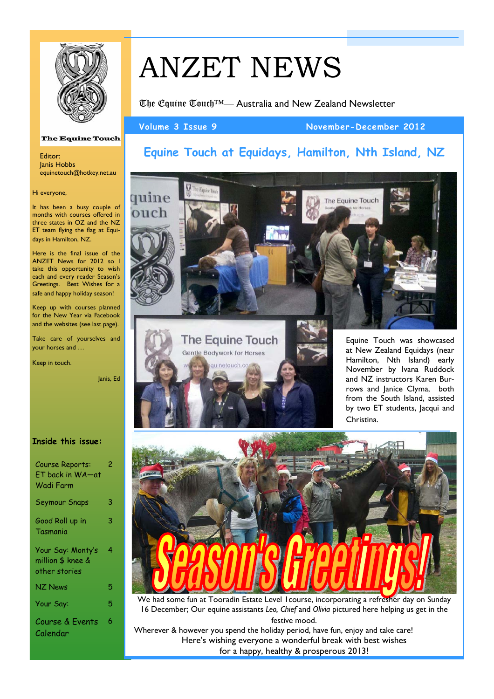

# ANZET NEWS

The Equine Touch™— Australia and New Zealand Newsletter

Volume 3 Issue 9 November-December 2012

# **The Equine Touch**

Editor: Janis Hobbs equinetouch@hotkey.net.au

### Hi everyone,

It has been a busy couple of months with courses offered in three states in OZ and the NZ ET team flying the flag at Equidays in Hamilton, NZ.

Here is the final issue of the ANZET News for 2012 so I take this opportunity to wish each and every reader Season's Greetings. Best Wishes for a safe and happy holiday season!

Keep up with courses planned for the New Year via Facebook and the websites (see last page).

Take care of yourselves and your horses and …

Keep in touch.

Janis, Ed

### **Inside this issue:**

| Course Reports:<br><b>ET back in WA-at</b><br>Wadi Farm | 2 |
|---------------------------------------------------------|---|
| Seymour Snaps                                           | 3 |
| Good Roll up in<br>Tasmania                             | 3 |
| Your Say: Monty's<br>million \$ knee &<br>other stories | 4 |
| NZ News                                                 | 5 |
| Your Say:                                               | 5 |
| Course & Events<br>Calendar                             | 6 |

# **Equine Touch at Equidays, Hamilton, Nth Island, NZ**





Equine Touch was showcased at New Zealand Equidays (near Hamilton, Nth Island) early November by Ivana Ruddock and NZ instructors Karen Burrows and Janice Clyma, both from the South Island, assisted by two ET students, Jacqui and Christina.



We had some fun at Tooradin Estate Level 1course, incorporating a refresher day on Sunday 16 December; Our equine assistants *Leo, Chief* and *Olivia* pictured here helping us get in the festive mood.

Wherever & however you spend the holiday period, have fun, enjoy and take care! Here's wishing everyone a wonderful break with best wishes for a happy, healthy & prosperous 2013!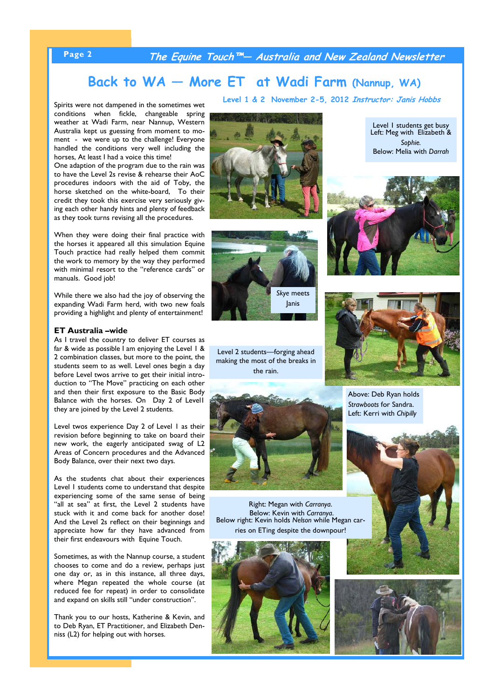### **Page 2 The Equine Touch™— Australia and New Zealand Newsletter**

# **Back to WA — More ET at Wadi Farm (Nannup, WA)**

Spirits were not dampened in the sometimes wet conditions when fickle, changeable spring weather at Wadi Farm, near Nannup, Western Australia kept us guessing from moment to moment - we were up to the challenge! Everyone handled the conditions very well including the horses, At least I had a voice this time!

One adaption of the program due to the rain was to have the Level 2s revise & rehearse their AoC procedures indoors with the aid of Toby, the horse sketched on the white-board, To their credit they took this exercise very seriously giving each other handy hints and plenty of feedback as they took turns revising all the procedures.

When they were doing their final practice with the horses it appeared all this simulation Equine Touch practice had really helped them commit the work to memory by the way they performed with minimal resort to the "reference cards" or manuals. Good job!

While there we also had the joy of observing the expanding Wadi Farm herd, with two new foals providing a highlight and plenty of entertainment!

### **ET Australia –wide**

As I travel the country to deliver ET courses as far & wide as possible I am enjoying the Level I & 2 combination classes, but more to the point, the students seem to as well. Level ones begin a day before Level twos arrive to get their initial introduction to "The Move" practicing on each other and then their first exposure to the Basic Body Balance with the horses. On Day 2 of Level1 they are joined by the Level 2 students.

Level twos experience Day 2 of Level 1 as their revision before beginning to take on board their new work, the eagerly anticipated swag of L2 Areas of Concern procedures and the Advanced Body Balance, over their next two days.

As the students chat about their experiences Level 1 students come to understand that despite experiencing some of the same sense of being "all at sea" at first, the Level 2 students have stuck with it and come back for another dose! And the Level 2s reflect on their beginnings and appreciate how far they have advanced from their first endeavours with Equine Touch.

Sometimes, as with the Nannup course, a student chooses to come and do a review, perhaps just one day or, as in this instance, all three days, where Megan repeated the whole course (at reduced fee for repeat) in order to consolidate and expand on skills still "under construction".

Thank you to our hosts, Katherine & Kevin, and to Deb Ryan, ET Practitioner, and Elizabeth Denniss (L2) for helping out with horses.

**Level 1 & 2 November 2-5, 2012 Instructor: Janis Hobbs**







Level 2 students—forging ahead making the most of the breaks in the rain.



Right: Megan with *Carranya*. Below right: Kevin holds Nelson while Megan carries on ETing despite the downpour!



Level 1 students get busy Left: Meg with Elizabeth & *Sophie.* Below: Melia with *Darrah*





Above: Deb Ryan holds *Strawboots* for Sandra. Left: Kerri with *Chipilly* 



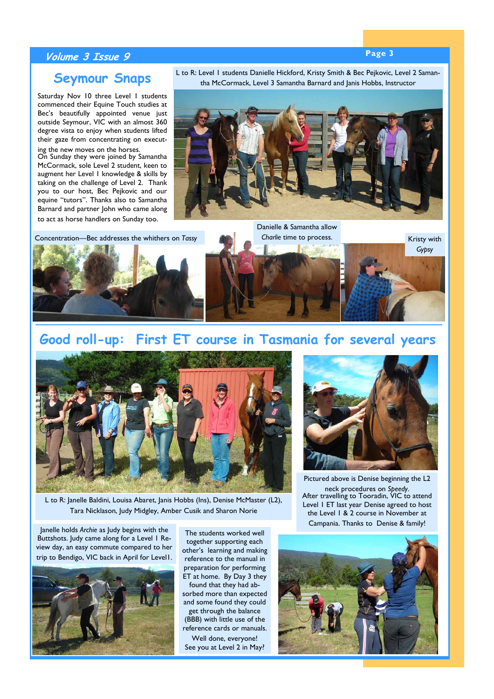## **Page 3 Volume 3 Issue 9**

# **Seymour Snaps**

Saturday Nov 10 three Level 1 students commenced their Equine Touch studies at Bec's beautifully appointed venue just outside Seymour, VIC with an almost 360 degree vista to enjoy when students lifted their gaze from concentrating on executing the new moves on the horses.

On Sunday they were joined by Samantha McCormack, sole Level 2 student, keen to augment her Level 1 knowledge & skills by taking on the challenge of Level 2. Thank you to our host, Bec Pejkovic and our equine "tutors". Thanks also to Samantha Barnard and partner John who came along to act as horse handlers on Sunday too.

L to R: Level 1 students Danielle Hickford, Kristy Smith & Bec Pejkovic, Level 2 Samantha McCormack, Level 3 Samantha Barnard and Janis Hobbs, Instructor



Concentration—Bec addresses the whithers on *Tassy*



Danielle & Samantha allow *Charlie* time to process.



# **Good roll-up: First ET course in Tasmania for several years**



L to R: Janelle Baldini, Louisa Abaret, Janis Hobbs (Ins), Denise McMaster (L2), Tara Nicklason, Judy Midgley, Amber Cusik and Sharon Norie

Janelle holds *Archie* as Judy begins with the Buttshots. Judy came along for a Level 1 Review day, an easy commute compared to her trip to Bendigo, VIC back in April for Level1.



The students worked well together supporting each other's learning and making reference to the manual in preparation for performing ET at home. By Day 3 they found that they had absorbed more than expected and some found they could get through the balance (BBB) with little use of the reference cards or manuals. Well done, everyone! See you at Level 2 in May?



Pictured above is Denise beginning the L2 neck procedures on *Speedy*. After travelling to Tooradin, VIC to attend Level 1 ET last year Denise agreed to host the Level 1 & 2 course in November at Campania. Thanks to Denise & family!

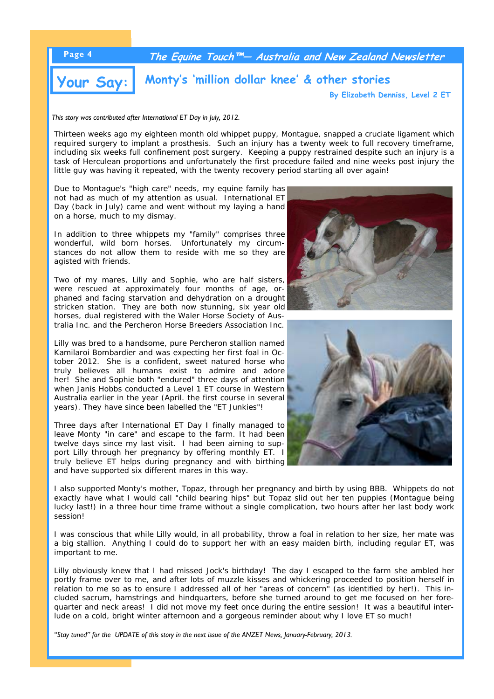

**By Elizabeth Denniss, Level 2 ET**

*This story was contributed after International ET Day in July, 2012.* 

Thirteen weeks ago my eighteen month old whippet puppy, Montague, snapped a cruciate ligament which required surgery to implant a prosthesis. Such an injury has a twenty week to full recovery timeframe, including six weeks full confinement post surgery. Keeping a puppy restrained despite such an injury is a task of Herculean proportions and unfortunately the first procedure failed and nine weeks post injury the little guy was having it repeated, with the twenty recovery period starting all over again!

Due to Montaque's "high care" needs, my equine family has not had as much of my attention as usual. International ET Day (back in July) came and went without my laying a hand on a horse, much to my dismay.

In addition to three whippets my "family" comprises three wonderful, wild born horses. Unfortunately my circumstances do not allow them to reside with me so they are agisted with friends.

Two of my mares, Lilly and Sophie, who are half sisters, were rescued at approximately four months of age, orphaned and facing starvation and dehydration on a drought stricken station. They are both now stunning, six year old horses, dual registered with the Waler Horse Society of Australia Inc. and the Percheron Horse Breeders Association Inc.

Lilly was bred to a handsome, pure Percheron stallion named Kamilaroi Bombardier and was expecting her first foal in October 2012. She is a confident, sweet natured horse who truly believes all humans exist to admire and adore her! She and Sophie both "endured" three days of attention when Janis Hobbs conducted a Level 1 ET course in Western Australia earlier in the year (April. the first course in several years). They have since been labelled the "ET Junkies"!

Three days after International ET Day I finally managed to leave Monty "in care" and escape to the farm. It had been twelve days since my last visit. I had been aiming to support Lilly through her pregnancy by offering monthly ET. I truly believe ET helps during pregnancy and with birthing and have supported six different mares in this way.



I was conscious that while Lilly would, in all probability, throw a foal in relation to her size, her mate was a big stallion. Anything I could do to support her with an easy maiden birth, including regular ET, was important to me.

Lilly obviously knew that I had missed Jock's birthday! The day I escaped to the farm she ambled her portly frame over to me, and after lots of muzzle kisses and whickering proceeded to position herself in relation to me so as to ensure I addressed all of her "areas of concern" (as identified by her!). This included sacrum, hamstrings and hindquarters, before she turned around to get me focused on her forequarter and neck areas! I did not move my feet once during the entire session! It was a beautiful interlude on a cold, bright winter afternoon and a gorgeous reminder about why I love ET so much!

*"Stay tuned" for the UPDATE of this story in the next issue of the ANZET News, January-February, 2013.*